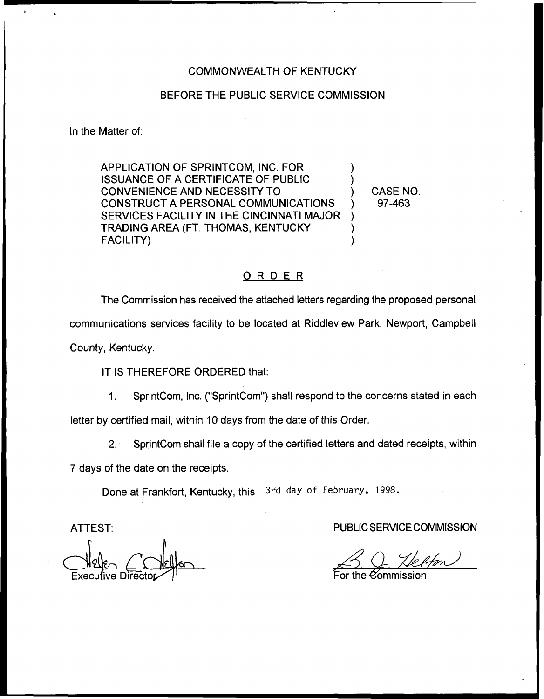## COMMONWEALTH OF KENTUCKY

# BEFORE THE PUBLIC SERVICE COMMISSION

In the Matter of:

APPLICATION OF SPRINTCOM, INC. FOR ) ISSUANCE OF A CERTIFICATE OF PUBLIC ) CONVENIENCE AND NECESSITY TO ) CONSTRUCT A PERSONAL COMMUNICATIONS SERVICES FACILITY IN THE CINCINNATI MAJOR TRADING AREA (FT, THOMAS, KENTUCKY ) FACILITY)

CASE NO. 97-463

# ORDER

The Commission has received the attached letters regarding the proposed personal communications services facility to be located at Riddleview Park, Newport, Campbell County, Kentucky.

IT IS THEREFORE ORDERED that:

1. SprintCom, Inc. ("SprintCom") shall respond to the concerns stated in each letter by certified mail, within 10 days from the date of this Order.

2. SprintCom shall file a copy of the certified letters and dated receipts, within

7 days of the date on the receipts.

Done at Frankfort, Kentucky, this 3rd day of February, 1998.

ATTEST:

II  $\triangle$ Neller Execulive Director

PUBLIC SERVICE COMMISSION

BQ Helfon

For the  ${\mathcal{C}\!\!}$ ommissio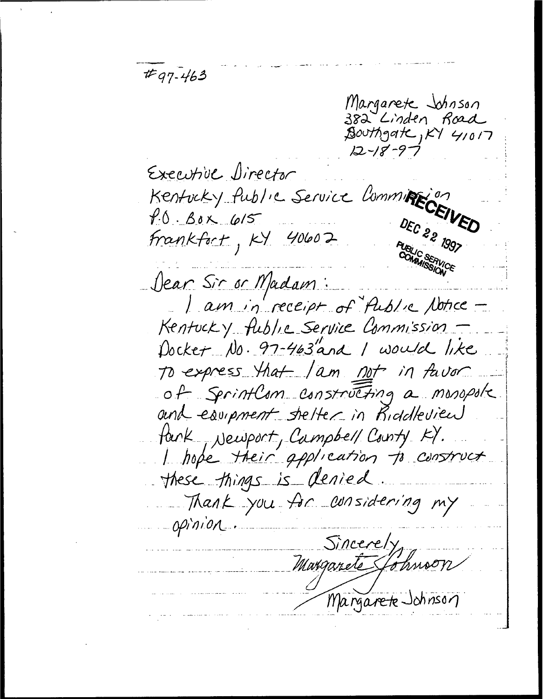$#q7 - 463$ Margarete Johnson 382 Linden Road  $\tilde{\mathcal{B}}$ outhgate, KY 41017  $12 - 18 - 97$ Executive Director<br>Kentucky fublic Service Commingion Executive Director DEC 22 1997 Frankfort, KY 40602 Dear Sir or Madam: I am in receipt of Aublic Notice -Kentucky fublic Service Commission. Docket No. 97-463"and I would like To express that I am not in favor of Sprintlam constructing a monopole and equipment shelter in Riddleview fank, Newport, Campbell County KY. I hope their application to construct these things is denied Thank you for considering my opinion Sincerely Margareté Sohnson Margarete Johnson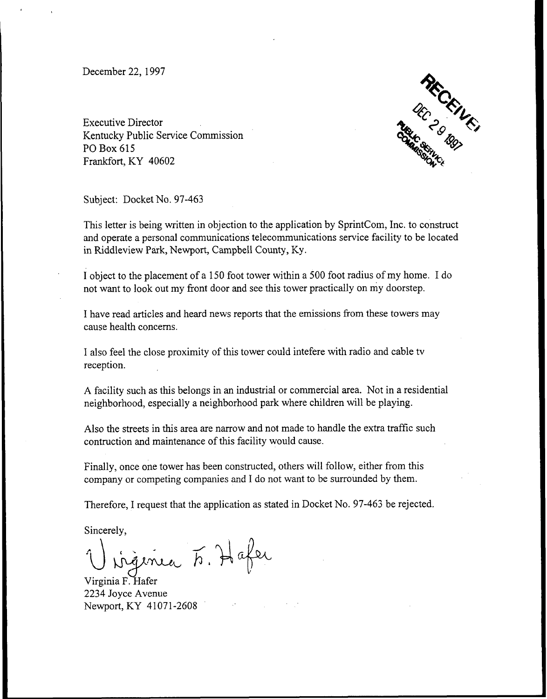December 22, 1997

Executive Director Kentucky Public Service Commission PO Box 615 Frankfort, KY 40602



Subject: Docket No. 97-463

This letter is being written in objection to the application by SprintCom, Inc. to construct and operate a personal communications telecommunications service facility to be located in Riddleview Park, Newport, Campbell County, Ky.

I object to the placement of a 150 foot tower within a 500 foot radius of my home. I do not want to look out my front door and see this tower practically on my doorstep.

I have read articles and heard news reports that the emissions from these towers may cause health concerns.

I also feel the close proximity of this tower could intefere with radio and cable tv reception.

A facility such as this belongs in an industrial or commercial area. Not in a residential neighborhood, especially a neighborhood park where children will be playing.

Also the streets in this area are narrow and not made to handle the extra traffic such contruction and maintenance of this facility would cause.

Finally, once one tower has been constructed, others will follow, either from this company or competing companies and I do not want to be surrounded by them.

Therefore, I request that the application as stated in Docket No. 97-463 be rejected.

Sincerely,

ingenia F. Hafer

Virginia F. Hafer 2234 Joyce Avenue Newport, KY 41071-2608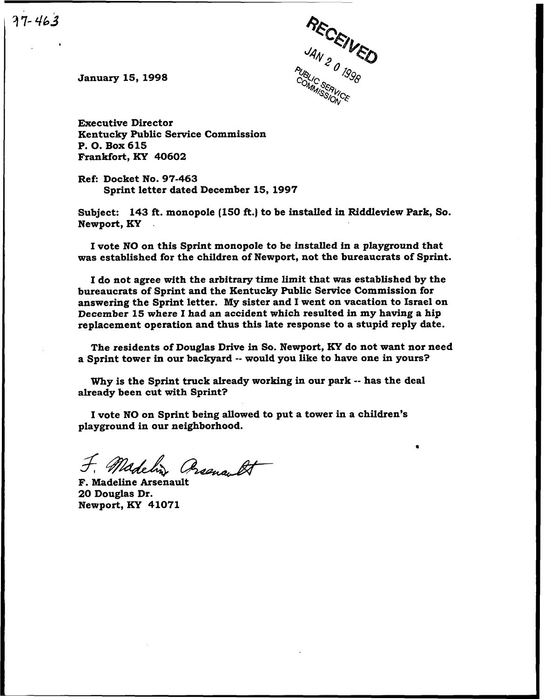January 15, 1998

 $77 - 463$ 



Executive Director Kentucky Public Service Commission P. O. Box 615 Frankfort, KY 40602

Ref: Docket No. 97-463 Sprint letter dated December 15, 1997

Subject: 143 ft. monopole (150 ft.) to be installed in Riddleview Park, So. Newport, KY

I vote NO on this Sprint monopole to be installed in a playground that was established for the children of Newport, not the bureaucrats of Sprint.

I do not agree with the arbitrary time limit that was established by the bureaucrats of Sprint and the Kentucky Public Service Commission for answering the Sprint letter. My sister and I went on vacation to Israel on December 15 where I had an accident which resulted in my having a hip replacement operation and thus this late response to a stupid reply date.

The residents of Douglas Drive in So. Newport, KY do not want nor need a Sprint tower in our backyard -- would you like to have one in yours?

Why is the Sprint truck already working in our park -- has the deal already been cut with Sprint?

I vote NO on Sprint being allowed to put a tower in a children' playground in our neighborhood.

F. Madeline Arsenault

20 Douglas Dr. Newport, KY 41071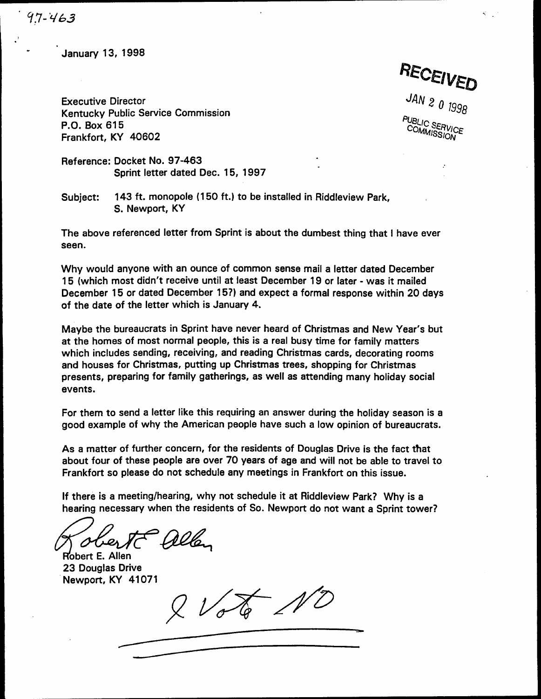January 13, 1998

RECEIVED

Executive Director Kentucky Public Service Commission P.O. Box 615 Frankfort, KY 40602

JAN 2 0  $1996$ PUBLIC SERVICE COMMISSION

Reference: Docket No. 97-463 Sprint letter dated Dec. 15, 1997

Subject: 143 ft. monopole (150 ft.) to be installed in Riddleview Park, S. Newport, KY

The above referenced letter from Sprint is about the dumbest thing that <sup>I</sup> have ever seen.

Why would anyone with an ounce of common sense mail a letter dated December 15 (which most didn't receive until at least December 19 or later - was it mailed December 15 or dated December 15?) and expect a formal response within 20 days of the date of the letter which is January 4.

Maybe the bureaucrats in Sprint have never heard of Christmas and New Year's but at the homes of most normal people, this is a real busy time for family matters which includes sending, receiving, and reading Christmas cards, decorating rooms and houses for Christmas, putting up Christmas trees, shopping for Christmas presents, preparing for family gatherings, as well as attending many holiday social events.

For them to send a letter like this requiring an answer during the holiday season is a good example of why the American people have such a low opinion of bureaucrats.

As a matter of further concern, for the residents of Douglas Drive is the fact that about four of these people are over 70 years of age and will not be able to travel to Frankfort so please do not schedule any meetings in Frankfort on this issue.

If there is a meeting/hearing, why not schedule it at Riddleview Park? Why is a hearing necessary when the residents of So. Newport do not want a Sprint tower?

Paller

Robert E. Allen 23 Douglas Drive Newport, KY 41071

 $2\sqrt{26}$  NO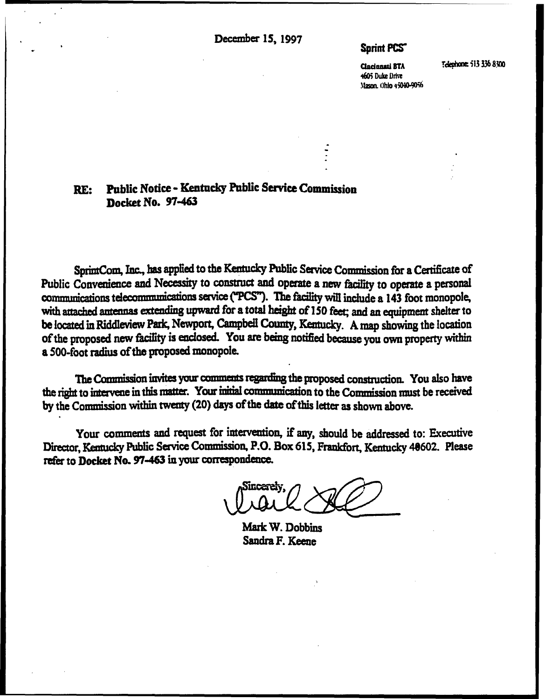December 15, 1997

# **Sprint PCS**

**Cincinnati BTA** 4605 Duke Drive Mason. Ohio +5040-9056 Telephone: 513 336 8300

#### **Public Notice - Kentucky Public Service Commission** RE: Docket No. 97-463

SprintCom, Inc., has applied to the Kentucky Public Service Commission for a Certificate of Public Convenience and Necessity to construct and operate a new facility to operate a personal communications telecommunications service ("PCS"). The facility will include a 143 foot monopole, with attached antennas extending upward for a total height of 150 feet; and an equipment shelter to be located in Riddleview Park, Newport, Campbell County, Kentucky. A map showing the location of the proposed new facility is enclosed. You are being notified because you own property within a 500-foot radius of the proposed monopole.

The Commission invites your comments regarding the proposed construction. You also have the right to intervene in this matter. Your initial communication to the Commission must be received by the Commission within twenty (20) days of the date of this letter as shown above.

Your comments and request for intervention, if any, should be addressed to: Executive Director, Kentucky Public Service Commission, P.O. Box 615, Frankfort, Kentucky 40602. Please refer to Docket No. 97-463 in your correspondence.

Sincerely

Mark W. Dobbins Sandra F. Keene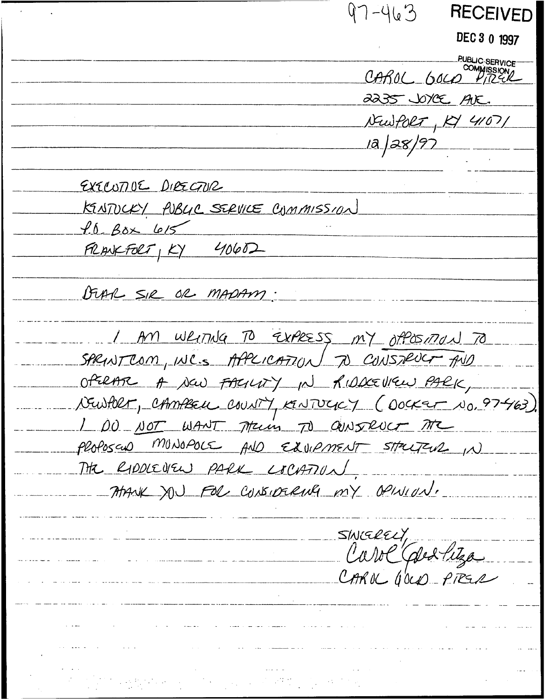$97 - 463$ **RECEIVED** DEC 3 0 1997 **PUBLIC-SERVICE** CAROL GOLD 2235 JOYCE AVE. NewPORT, KY 41071 1a | 28 | 97 \_\_\_\_ EXECUTIVE DIRECTUR KINTUCKY PUBLIC SERVICE CUMMISSION  $f.6$   $Box$   $615$  $FRLAVEFOLT, KY 40602$ DUAR SIR OR MADAM. I AM WRITING TO EXPRESS MY OPOSITION TO SPRINT COM, INC.S APPLICATION TO CONSTRUCT AND OPERAR A NOW FACTURY IN RIDDECUTEW PARK, VEWHER, CAMBELL COUNTY, KENTUCKY (OOCKER NO. 97463). 1 DO NOT WANT Trun TO OUNSRUCT TRE PloPoscus MUNOPOLS AND EXVIPMENT STRUTEUR IN THE RIDDIEVEN PARK LOCATION ATANK YOU FOR CUNSIDERING MY OPINION. SINGRELY, Carol Caled Pitza CAROL GOLD PIRER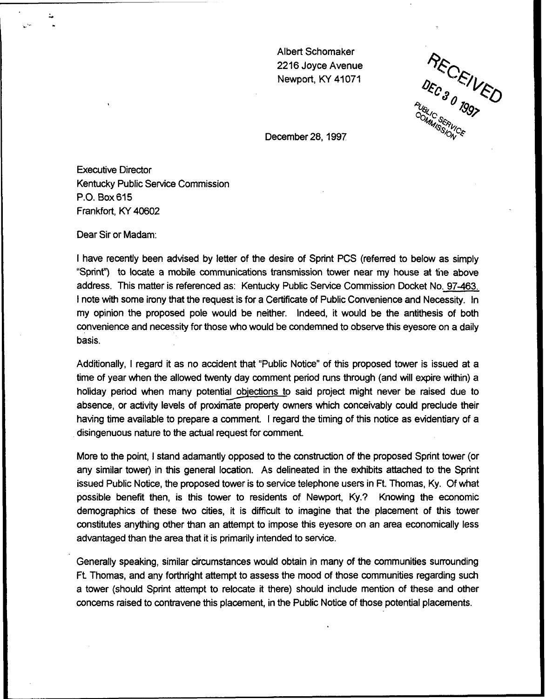Albert Schomaker 2216 Joyce Avenue Newport, KY 41071

 $^{\prime\prime}$ MANSERVIC

December 28, 1997.

Executive Director Kentucky Public Service Commission P.O. Box 615 Frankfort, KY 40602

Dear Sir or Madam:

<sup>I</sup> have recently been advised by letter of the desire of Sprint PCS (referred to below as simply "Sprint") to locate a mobile communications transmission tower near my house at the above address. This matter is referenced as: Kentucky Public Service Commission Docket No. 97-463. <sup>I</sup> note with some irony that the request is for a Certificate of Public Convenience and Necessity. In my opinion the proposed pole would be neither. Indeed, it would be the antithesis of both convenience and necessity for those who would be condemned to observe this eyesore on a daily basis.

Additionally, <sup>I</sup> regard it as no accident that "Public Notice" of this proposed tower is issued at a time of year when the allowed twenty day comment period runs through (and will expire within) a holiday period when many potential objections to said project might never be raised due to absence, or activity levels of proximate property owners which conceivably could preclude their having time available to prepare a comment. <sup>I</sup> regard the timing of this notice as evidentiary of a disingenuous nature to the actual request for comment.

More to the point, <sup>I</sup> stand adamantly opposed to the construction of the proposed Sprint tower (or any similar tower) in this general location. As delineated in the exhibits attached to the Sprint issued Public Notice, the proposed tower is to service telephone users in Ft. Thomas, Ky. Of what possible benefit then, is this tower to residents of Newport, Ky.? Knowing the economic demographics of these two cities, it is difficult to imagine that the placement of this tower constitutes anything other than an attempt to impose this eyesore on an area economically less advantaged than the area that it is primarily intended to service.

Generally speaking, similar circumstances would obtain in many of the communities surrounding Ft Thomas, and any forthright attempt to assess the mood of those communities regarding such a tower (should Sprint attempt to relocate it there) should include mention of these and other concerns raised to contravene this placement, in the Public Notice of those potential placements.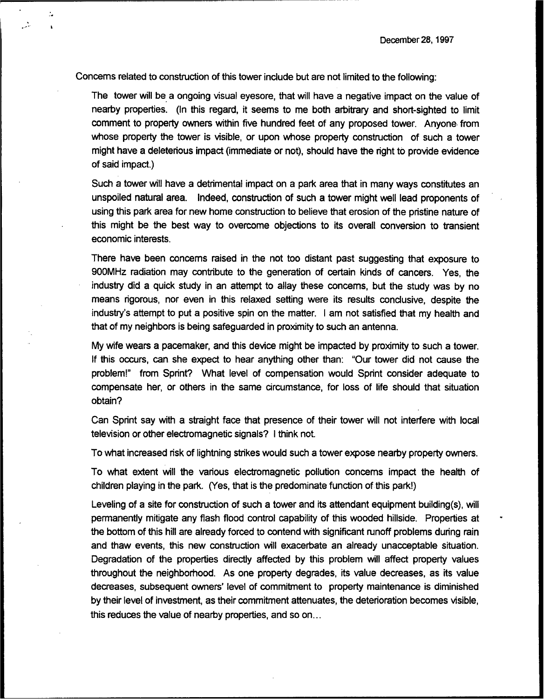Concerns related to construction of this tower include but are not limited to the following:

÷.

 $\cdot$ 

التقييد

The tower will be a ongoing visual eyesore, that will have a negative impact on the value of nearby properties. (In this regard, it seems to me both arbitrary and short-sighted to limit comment to property owners within five hundred feet of any proposed tower. Anyone from whose property the tower is visible, or upon whose property construction of such a tower might have a deleterious impact (immediate or not), should have the right to provide evidence of said impact.)

Such a tower will have a detrimental impact on a park area that in many ways constitutes an unspoiled natural area. Indeed, construction of such a tower might well lead proponents of using this park area for new home construction to believe that erosion of the pristine nature of this might be the best way to overcome objections to its overall conversion to transient economic interests.

There have been concerns raised in the not too distant past suggesting that exposure to 900MHz radiation may contribute to the generation of certain kinds of cancers. Yes, the industry did a quick study in an attempt to allay these concerns, but the study was by no means rigorous, nor even in this relaxed setting were its results conclusive, despite the industry's attempt to put a positive spin on the matter. <sup>I</sup> am not satisfied that my health and that of my neighbors is being safeguarded in proximity to such an antenna.

My wife wears a pacemaker, and this device might be impacted by proximity to such a tower. If this occurs, can she expect to hear anything other than: "Our tower did not cause the problem!" from Sprint? What level of compensation would Sprint consider adequate to compensate her, or others in the same circumstance, for loss of life should that situation obtain?

Can Sprint say with a straight face that presence of their tower will not interfere with local television or other electromagnetic signals? <sup>I</sup> think not.

To what increased risk of lightning strikes would such a tower expose nearby property owners.

To what extent will the various electromagnetic pollution concerns impact the health of children playing in the park. (Yes, that is the predominate function of this park!)

Leveling of a site for construction of such a tower and its attendant equipment building(s), will permanently mitigate any flash flood control capability of this wooded hillside. Properties at the bottom of this hill are already forced to contend with significant runoff problems during rain and thaw events, this new construction will exacerbate an already unacceptable situation. Degradation of the properties directly affected by this problem will affect property values throughout the neighborhood. As one property degrades, its value decreases, as its value decreases, subsequent owners' level of commitment to property maintenance is diminished by their level of investment, as their commitment attenuates, the deterioration becomes visible, this reduces the value of nearby properties, and so on...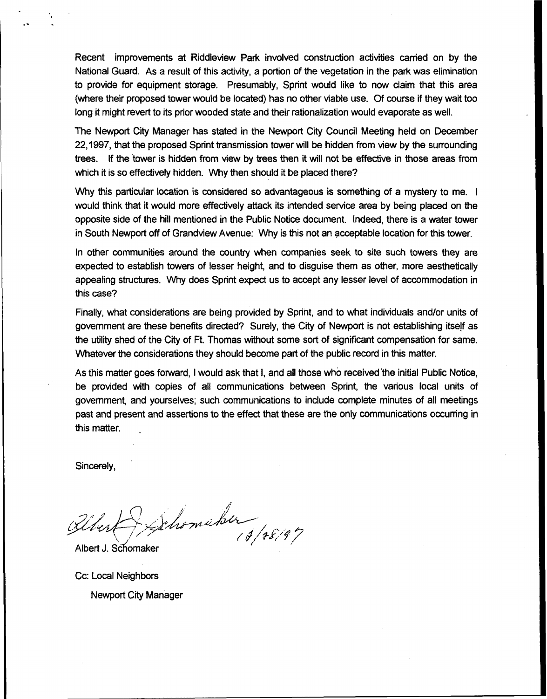Recent improvements at Riddleview Park involved construction activities carried on by the National Guard. As a result of this activity, a portion of the vegetation in the park was elimination to provide for equipment storage. Presumably, Sprint would like to now claim that this area (where their proposed tower would be located) has no other viable use. Qf course if they wait too long it might revert to its prior wooded state and their rationalization would evaporate as well.

The Newport City Manager has stated in the Newport City Council Meeting held on December 22,1997, that the proposed Sprint transmission tower will be hidden from view by the surrounding trees. If the tower is hidden from view by trees then it will not be effective in those areas from which it is so effectively hidden. Why then should it be placed there?

Why this particular location is considered so advantageous is something of a mystery to me. I would think that it would more effectively attack its intended service area by being placed on the opposite side of the hill mentioned in the Public Notice document. Indeed, there is a water tower in South Newport off of Grandview Avenue: Why is this not an acceptable location for this tower.

In other communities around the country when companies seek to site such towers they are expected to establish towers of lesser height, and to disguise them as other, more aesthetically appealing structures. Why does Sprint expect us to accept any lesser level of accommodation in this case?

Finally, what considerations are being provided by Sprint, and to what individuals and/or units of government are these benefits directed'? Surely, the City of Newport is not establishing itself as the utility shed of the City of Ft, Thomas without some sort of significant compensation for same. Whatever the considerations they should become part of the public record in this matter.

As this matter goes forward, <sup>I</sup> would ask that I, and all those who received'the initial Public Notice, be provided with copies of all communications between Sprint, the various local units of government, and yourselves; such communications to include complete minutes of all meetings past and present and assertions to the effect that these are the only communications occurring in this matter.

Sincerely,

Albert J. Scfiomaker Uleri

Cc: Local Neighbors Newport City Manager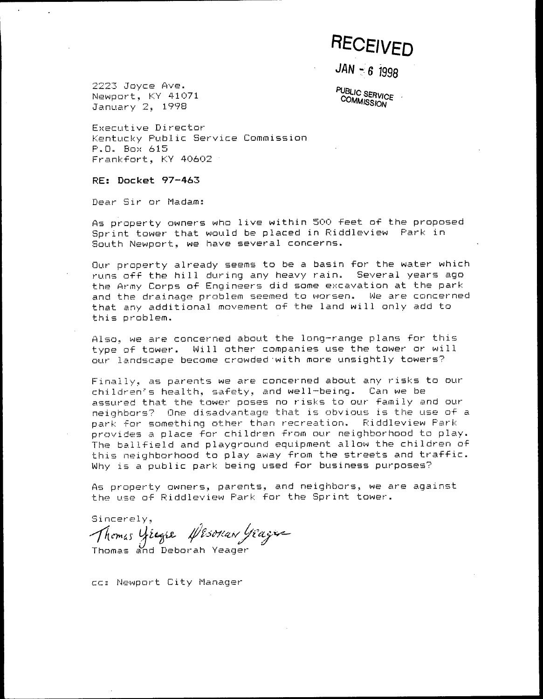# **RECEIVED**

 $JAN - 6$  1998

2223 Joyce Ave. Newport, KY 41071 January 2, 1998

PUBLIC SERVICE **COMMISSION** 

Executive Director Kentucky Public Service Commission P.O. Box 615 Frankfort, KY 40602

RE: Docket 97-463

Dear Sir or Madam:

As property owners who live within 500 feet of the proposed Sprint tower that would be placed in Riddleview Park in South Newport, we have several concerns.

Our property already seems to be a basin for the water which runs off the hill during any heavy rain. Several years ago the Army Corps of Engineers did some excavation at the park and the drainage problem seemed to worsen. We are concerned that any additional movement of the land will only add to this problem.

Also, we are concerned about the long-range plans for this type of tower. Will other companies use the tower or will our landscape become crowded with more unsightly towers?

Finally, as parents we are concerned about any risks to our children's health, safety, and well-being. Can we be assured that the tower poses no risks to our family and our neighbors? One disadvantage that is obvious is the use of a park for something other than recreation. Riddleview Park provides a place for children from our neighborhood to play. The ballfield and playground equipment allow the children of this neighborhood to play away from the streets and traffic. Why is a public park being used for business purposes?

As property owners, parents, and neighbors, we are against the use of Riddleview Park for the Sprint tower.

Sincerely, Thomas yeager Nesonan yeager

cc: Newport City Manager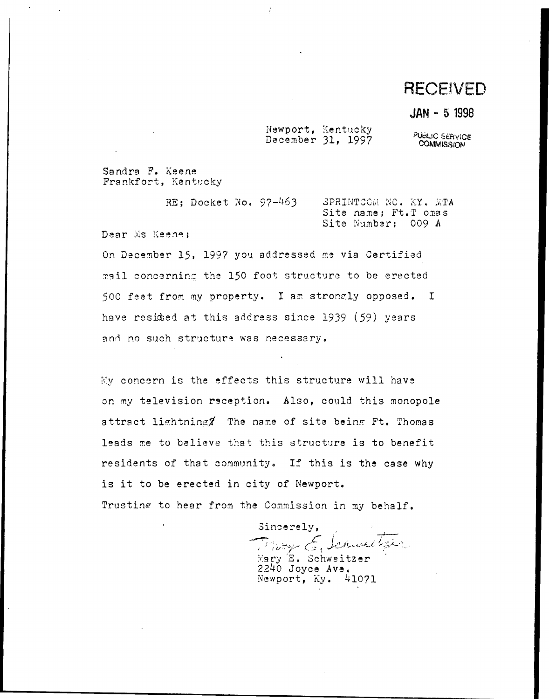# **RECEIVED**

### JAN - 5 1998

Newport, Kentucky December 31, 1997

PUBLIC SERVICE<br>COMMISSION

Sandra F. Keene Frankfort, Kentucky

| RE; Docket No. 97-463 |  | SPRINTCOM NO. KY. MTA |  |  |
|-----------------------|--|-----------------------|--|--|
|                       |  | Site name; Ft.T omas  |  |  |
|                       |  | Site Number; 009 A    |  |  |

Dear Ms Keene:

On December 15, 1997 you addressed me via Certified mail concerning the 150 foot structure to be erected 500 feet from my property. I am strongly opposed. I have resided at this address since 1939 (59) years and no such structure was necessary.

My concern is the effects this structure will have on my television reception. Also, could this monopole attract lightning? The name of site being Ft. Thomas leads me to believe that this structure is to benefit residents of that community. If this is the case why is it to be erected in city of Newport. Trusting to hear from the Commission in my behalf.

Sincerely, Mary E. Schweitzer  $2240$  Joyce Ave.

Newport, Ky. 41071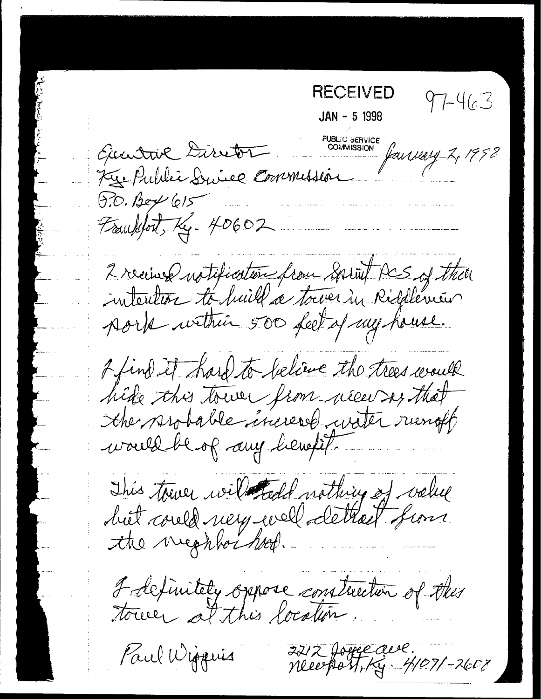RECEIVED  $97 - 463$ JAN - <sup>5</sup> <sup>1998</sup> PUBLIC SERVIC COMMISSION failUlly 2, 1952  $6.0.$  Bey  $615$ Frankfort, Kg. 40602 2 receives natification from Sprint PCS of then 2 find it hard to believe the trees would hide this town from néen sy that This town with todd nothing of volue I definitely oppose construction of this 2212 Joure due.<br>Neuerfast, Ky. 4/07/-2608 Paul Wiggins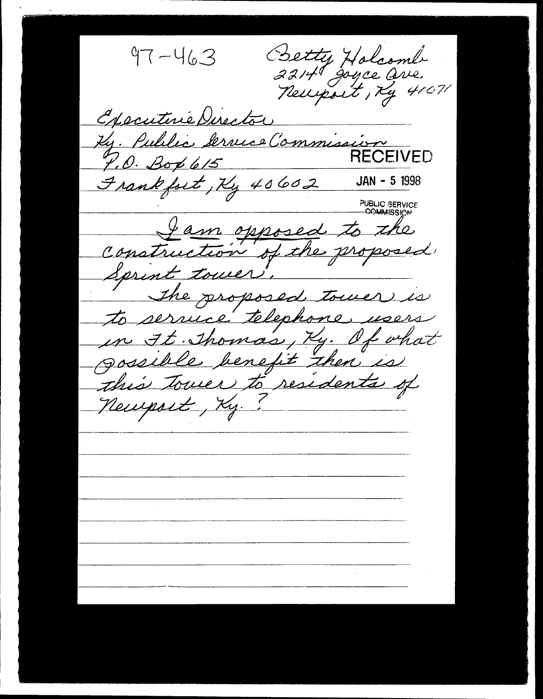Betty Holcomb  $97 - 463$ newport, Ky 41071 Executive Director Ky. Public Service Commission **RECEIVED**  $7.0.$  Bop 615 Frankfort, Ky 40602 JAN - 5 1998 **PUBLIC SERVICE**<br>- **COMMISSION** Jam opposed to the Construction of the proposed Sprint tower The proposed tower is to service telephone users in It. Thomas, Ky. Of what gossible benefit then is this tower to residents of Newport, Ky.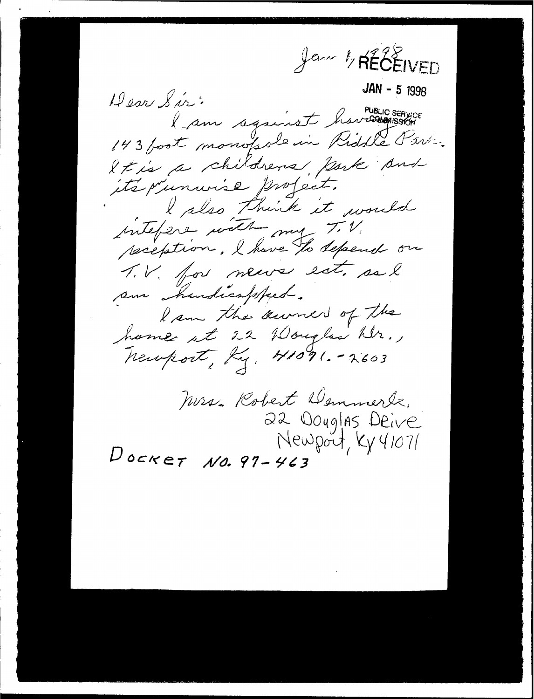Jan 1, RÉCÉIVED JAN - 5 1998 Dear Sir: PUBLIC SERVICE 143 post monopole in Riddle Part. It is a childrens fark and its primurise profect. I slso think it would interest with my T.V. peciption. I have to depend on T.V. for news est, as l am handicappeal. I am the surver of the home it 22 Wouglas hir., Newport, Ky. 41091. - 2603 Mrs. Robert Demmerle. 22 Douglas Deive Newport, Ky 41071  $D$ ocket  $N0.97 - 463$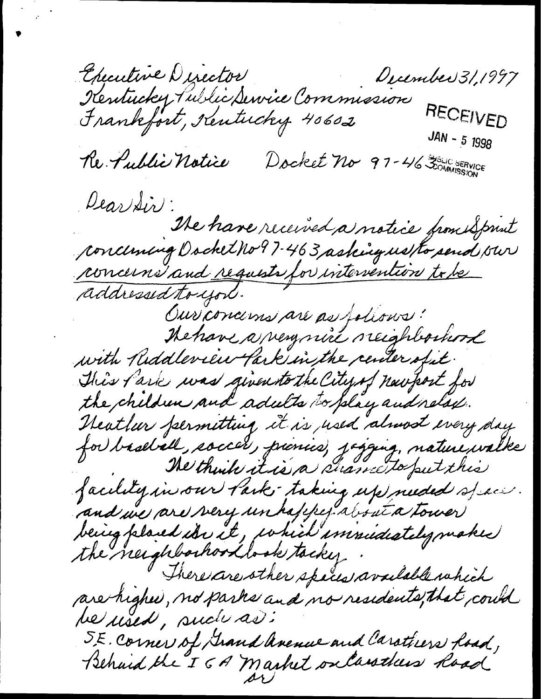Checutive Director<br>Kentucky Public Service Commission<br>Frankfort, Kentucky 40602 December 31,1997 RECEIVED  $JAN - 5 1998$ Docket no 97-46 30 SOMMISSION Re. Public Notice Dear Sir:<br>Ne have received a notice pour Sprint conceming Docket No? 7-463 asking us to send our concerns and requests for intervention to be addressed to you. Ouriconcerns are as follows! The have a very nice reighbouwerd with Riddleview Park in the center of it. This fark was given to the City of newfort for the children and adults to play and relax. Neather fermitting it is used almost every day for baseball, soccer, prinice, jagging, nature walke facility in our lark taking up needed space. and we are very un happer about a tower being placed ion it, which immidiately makes the neighborhood to sk tacker There are other species available which are higher, no parks and no residents, that could he used, such as: S.E. Corner of Grand avenue and Carathers hoad, Behard the IGA market onlarsthess hoad